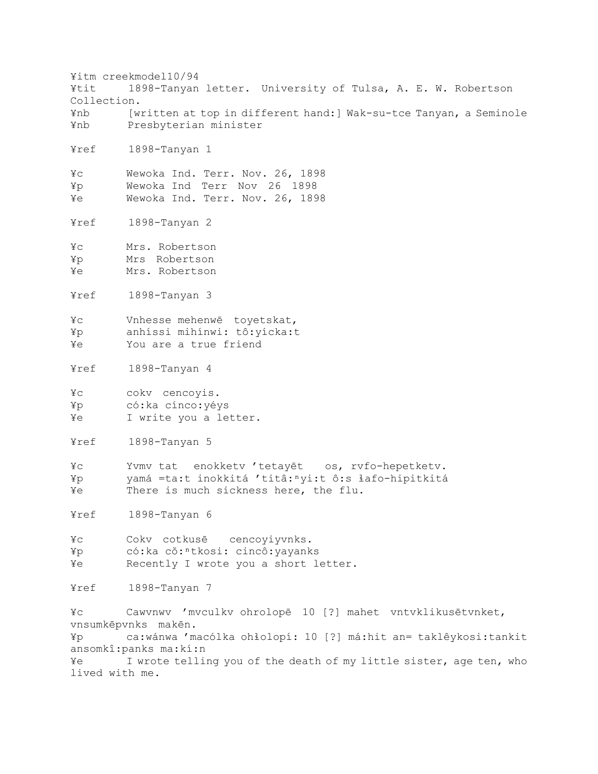¥itm creekmodel10/94 ¥tit 1898-Tanyan letter. University of Tulsa, A. E. W. Robertson Collection. ¥nb [written at top in different hand:] Wak-su-tce Tanyan, a Seminole ¥nb Presbyterian minister ¥ref 1898-Tanyan 1 ¥c Wewoka Ind. Terr. Nov. 26, 1898 ¥p Wewoka Ind Terr Nov 26 1898 ¥e Wewoka Ind. Terr. Nov. 26, 1898 ¥ref 1898-Tanyan 2 ¥c Mrs. Robertson ¥p Mrs Robertson ¥e Mrs. Robertson ¥ref 1898-Tanyan 3 ¥c Vnhesse mehenwē toyetskat, ¥p anhíssi mihínwi: tô:yícka:t ¥e You are a true friend ¥ref 1898-Tanyan 4 ¥c cokv cencoyis. ¥p có:ka cínco:yéys ¥e I write you a letter. ¥ref 1898-Tanyan 5 ¥c Yvmv tat enokketv 'tetayēt os, rvfo-hepetketv. ¥p yamá =ta:t inokkitá 'titâ:ⁿyi:t ô:s ɬafo-hipitkitá ¥e There is much sickness here, the flu. ¥ref 1898-Tanyan 6 ¥c Cokv cotkusē cencoyiyvnks. ¥p có:ka cǒ:ⁿtkosi: cincô:yayanks ¥e Recently I wrote you a short letter. ¥ref 1898-Tanyan 7 ¥c Cawvnwv 'mvculkv ohrolopē 10 [?] mahet vntvklikusētvnket, vnsumkēpvnks makēn. ¥p ca:wánwa 'macólka ohɬolopí: 10 [?] má:hit an= taklêykosi:tankit ansomkî:panks ma:kí:n ¥e I wrote telling you of the death of my little sister, age ten, who lived with me.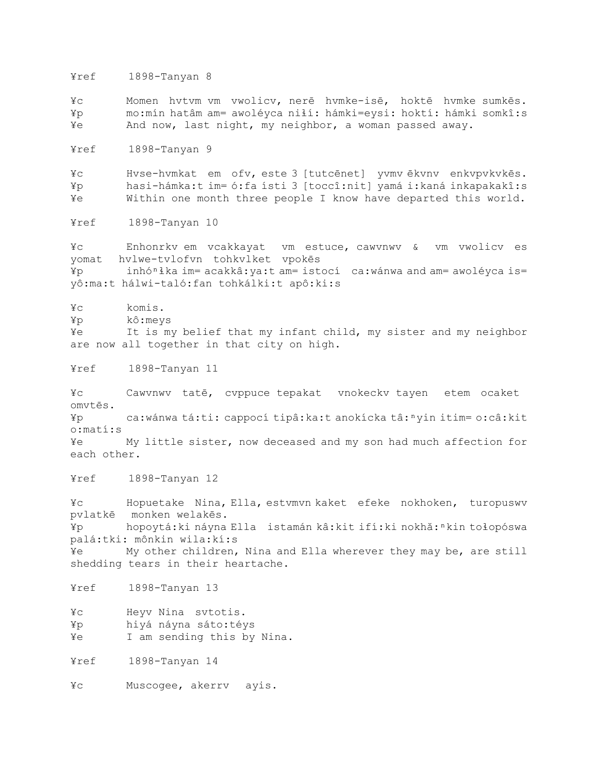¥ref 1898-Tanyan 8

¥c Momen hvtvm vm vwolicv, nerē hvmke-isē, hoktē hvmke sumkēs. ¥p mo:mín hatâm am= awoléyca niɬí: hámki=eysi: hoktí: hámki somkî:s ¥e And now, last night, my neighbor, a woman passed away.

¥ref 1898-Tanyan 9

¥c Hvse-hvmkat em ofv, este 3 [tutcēnet] yvmv ēkvnv enkvpvkvkēs. ¥p hasi-hámka:t im= ó:fa ísti 3 [toccî:nit] yamá i:kaná inkapakakî:s ¥e Within one month three people I know have departed this world.

¥ref 1898-Tanyan 10

¥c Enhonrkv em vcakkayat vm estuce, cawvnwv & vm vwolicv es yomat hvlwe-tvlofvn tohkvlket vpokēs ¥p inhóⁿɬka im= acakkâ:ya:t am= istocí ca:wánwa and am= awoléyca is= yô:ma:t hálwi-taló:fan tohkálki:t apô:ki:s

¥c komis.

¥p kô:meys

¥e It is my belief that my infant child, my sister and my neighbor are now all together in that city on high.

¥ref 1898-Tanyan 11

¥c Cawvnwv tatē, cvppuce tepakat vnokeckv tayen etem ocaket omvtēs.

¥p ca:wánwa tá:ti: cappocí tipâ:ka:t anokícka tâ:ⁿyin itim= o:câ:kit o:matí:s

¥e My little sister, now deceased and my son had much affection for each other.

¥ref 1898-Tanyan 12

¥c Hopuetake Nina, Ella, estvmvn kaket efeke nokhoken, turopuswv pvlatkē monken welakēs. ¥p hopoytá:ki náyna Ella istamán kâ:kit ifí:ki nokhǎ:ⁿkin toɬopóswa palá:tki: mônkin wila:kí:s ¥e My other children, Nina and Ella wherever they may be, are still shedding tears in their heartache.

¥ref 1898-Tanyan 13

¥c Heyv Nina svtotis.

¥p hiyá náyna sáto:téys

¥e I am sending this by Nina.

¥ref 1898-Tanyan 14

¥c Muscogee, akerrv ayis.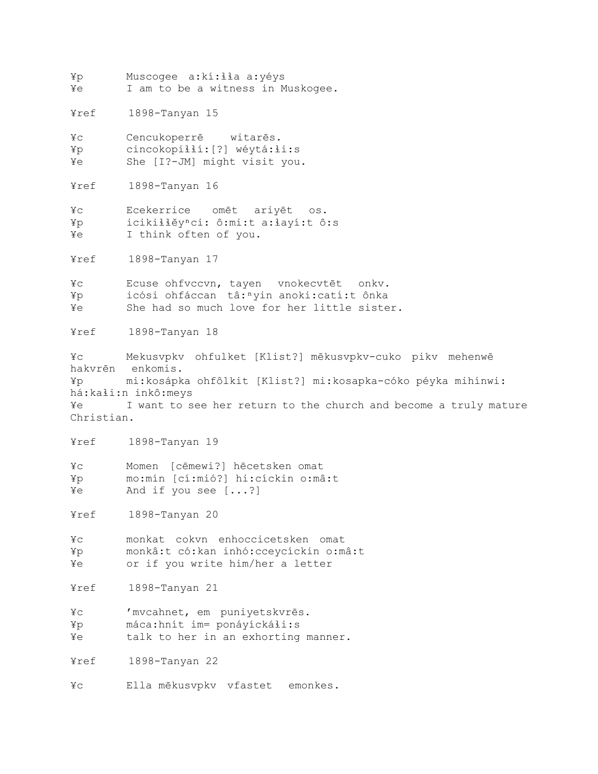¥p Muscogee a:kí:ɬɬa a:yéys ¥e I am to be a witness in Muskogee.

¥ref 1898-Tanyan 15

¥c Cencukoperrē witarēs. ¥p cincokopiɬɬí:[?] wéytá:ɬi:s ¥e She [I?-JM] might visit you.

¥ref 1898-Tanyan 16

¥c Ecekerrice omēt ariyēt os. ¥p icikiɬɬěyⁿci: ô:mi:t a:ɬayí:t ô:s ¥e I think often of you.

¥ref 1898-Tanyan 17

¥c Ecuse ohfvccvn, tayen vnokecvtēt onkv. ¥p icósi ohfáccan tâ:ⁿyin anoki:catí:t ônka ¥e She had so much love for her little sister.

¥ref 1898-Tanyan 18

¥c Mekusvpkv ohfulket [Klist?] mēkusvpkv-cuko pikv mehenwē hakvrēn enkomis. ¥p mi:kosápka ohfôlkit [Klist?] mi:kosapka-cóko péyka mihínwi: há:kaɬi:n inkô:meys ¥e I want to see her return to the church and become a truly mature Christian.

¥ref 1898-Tanyan 19

¥c Momen [cēmewi?] hēcetsken omat ¥p mo:mín [cí:mió?] hi:cíckin o:mâ:t ¥e And if you see [...?]

¥ref 1898-Tanyan 20

¥c monkat cokvn enhoccicetsken omat ¥p monkâ:t có:kan inhó:cceycíckin o:mâ:t ¥e or if you write him/her a letter

¥ref 1898-Tanyan 21

¥c 'mvcahnet, em puniyetskvrēs. ¥p máca:hnít im= ponáyíckáɬi:s

¥e talk to her in an exhorting manner.

¥ref 1898-Tanyan 22

¥c Ella mēkusvpkv vfastet emonkes.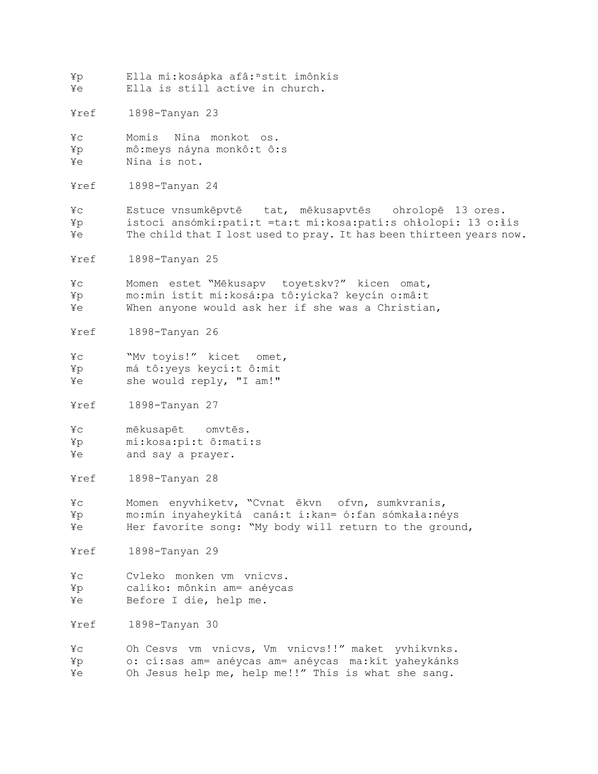¥p Ella mi:kosápka afâ:ⁿstit imônkis ¥e Ella is still active in church.

¥ref 1898-Tanyan 23

¥c Momis Nina monkot os. ¥p mô:meys náyna monkô:t ô:s ¥e Nina is not.

¥ref 1898-Tanyan 24

¥c Estuce vnsumkēpvtē tat, mēkusapvtēs ohrolopē 13 ores. ¥p istocí ansómki:patí:t =ta:t mí:kosa:patí:s ohɬolopí: 13 o:ɬís ¥e The child that I lost used to pray. It has been thirteen years now.

¥ref 1898-Tanyan 25

¥c Momen estet "Mēkusapv toyetskv?" kicen omat, ¥p mo:mín ístit mi:kosá:pa tô:yícka? keycín o:mâ:t ¥e When anyone would ask her if she was a Christian,

¥ref 1898-Tanyan 26

¥c "Mv toyis!" kicet omet, ¥p má tô:yeys keycí:t ô:mit ¥e she would reply, "I am!"

¥ref 1898-Tanyan 27

¥c mēkusapēt omvtēs. ¥p mí:kosa:pí:t ô:mati:s ¥e and say a prayer.

¥ref 1898-Tanyan 28

¥c Momen enyvhiketv, "Cvnat ēkvn ofvn, sumkvranis, ¥p mo:mín inyaheykitá caná:t i:kan= ó:fan sómkaɬa:néys ¥e Her favorite song: "My body will return to the ground,

¥ref 1898-Tanyan 29

¥c Cvleko monken vm vnicvs. ¥p calíko: mônkin am= anéycas ¥e Before I die, help me.

¥ref 1898-Tanyan 30

¥c Oh Cesvs vm vnicvs, Vm vnicvs!!" maket yvhikvnks. ¥p o: cí:sas am= anéycas am= anéycas ma:kít yaheykánks ¥e Oh Jesus help me, help me!!" This is what she sang.